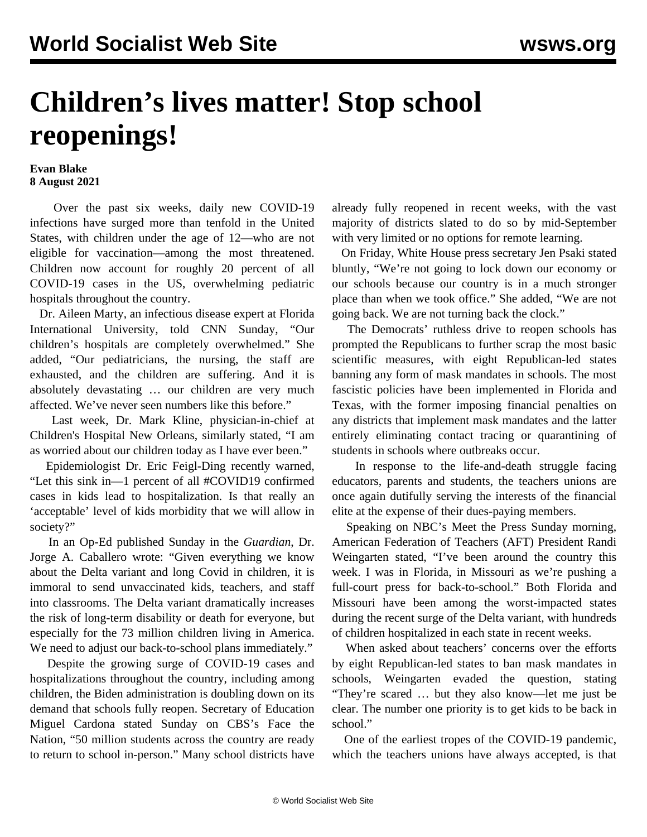## **Children's lives matter! Stop school reopenings!**

## **Evan Blake 8 August 2021**

 Over the past six weeks, daily new COVID-19 infections have surged more than tenfold in the United States, with children under the age of 12—who are not eligible for vaccination—among the most threatened. Children now account for roughly 20 percent of all COVID-19 cases in the US, overwhelming pediatric hospitals throughout the country.

 Dr. Aileen Marty, an infectious disease expert at Florida International University, told CNN Sunday, "Our children's hospitals are completely overwhelmed." She added, "Our pediatricians, the nursing, the staff are exhausted, and the children are suffering. And it is absolutely devastating … our children are very much affected. We've never seen numbers like this before."

 Last week, Dr. Mark Kline, physician-in-chief at Children's Hospital New Orleans, similarly stated, "I am as worried about our children today as I have ever been."

 Epidemiologist Dr. Eric Feigl-Ding recently warned, "Let this sink in—1 percent of all #COVID19 confirmed cases in kids lead to hospitalization. Is that really an 'acceptable' level of kids morbidity that we will allow in society?"

 In an Op-Ed published Sunday in the *Guardian*, Dr. Jorge A. Caballero wrote: "Given everything we know about the Delta variant and long Covid in children, it is immoral to send unvaccinated kids, teachers, and staff into classrooms. The Delta variant dramatically increases the risk of long-term disability or death for everyone, but especially for the 73 million children living in America. We need to adjust our back-to-school plans immediately."

 Despite the growing surge of COVID-19 cases and hospitalizations throughout the country, including among children, the Biden administration is doubling down on its demand that schools fully reopen. Secretary of Education Miguel Cardona stated Sunday on CBS's Face the Nation, "50 million students across the country are ready to return to school in-person." Many school districts have already fully reopened in recent weeks, with the vast majority of districts slated to do so by mid-September with very limited or no options for remote learning.

 On Friday, White House press secretary Jen Psaki stated bluntly, "We're not going to lock down our economy or our schools because our country is in a much stronger place than when we took office." She added, "We are not going back. We are not turning back the clock."

 The Democrats' ruthless drive to reopen schools has prompted the Republicans to further scrap the most basic scientific measures, with eight Republican-led states banning any form of mask mandates in schools. The most fascistic policies have been implemented in Florida and Texas, with the former imposing financial penalties on any districts that implement mask mandates and the latter entirely eliminating contact tracing or quarantining of students in schools where outbreaks occur.

 In response to the life-and-death struggle facing educators, parents and students, the teachers unions are once again dutifully serving the interests of the financial elite at the expense of their dues-paying members.

 Speaking on NBC's Meet the Press Sunday morning, American Federation of Teachers (AFT) President Randi Weingarten stated, "I've been around the country this week. I was in Florida, in Missouri as we're pushing a full-court press for back-to-school." Both Florida and Missouri have been among the worst-impacted states during the recent surge of the Delta variant, with hundreds of children hospitalized in each state in recent weeks.

 When asked about teachers' concerns over the efforts by eight Republican-led states to ban mask mandates in schools, Weingarten evaded the question, stating "They're scared … but they also know—let me just be clear. The number one priority is to get kids to be back in school."

 One of the earliest tropes of the COVID-19 pandemic, which the teachers unions have always accepted, is that